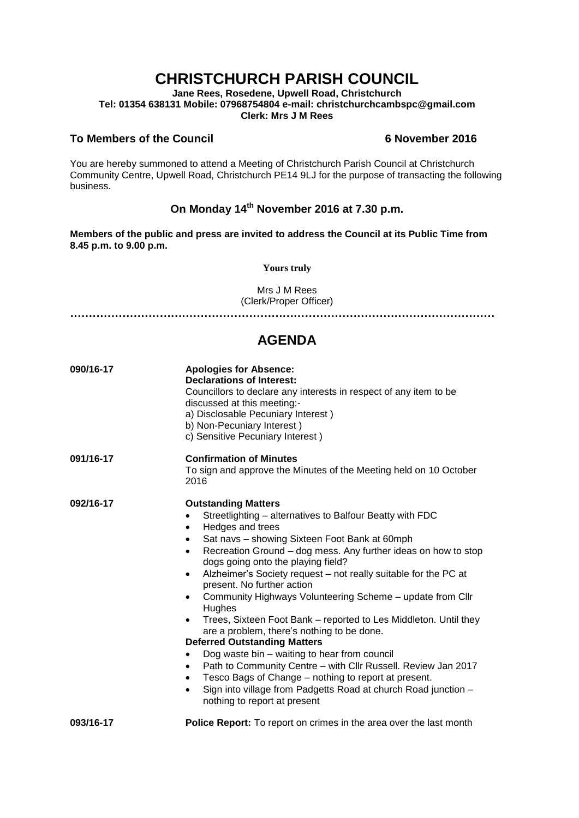# **CHRISTCHURCH PARISH COUNCIL**

**Jane Rees, Rosedene, Upwell Road, Christchurch Tel: 01354 638131 Mobile: 07968754804 e-mail: christchurchcambspc@gmail.com Clerk: Mrs J M Rees**

### **To Members of the Council 6 November 2016**

You are hereby summoned to attend a Meeting of Christchurch Parish Council at Christchurch Community Centre, Upwell Road, Christchurch PE14 9LJ for the purpose of transacting the following business.

## **On Monday 14th November 2016 at 7.30 p.m.**

**Members of the public and press are invited to address the Council at its Public Time from 8.45 p.m. to 9.00 p.m.** 

**Yours truly**

Mrs J M Rees (Clerk/Proper Officer)

**……………………………………………………………………………………………………**

### **AGENDA**

| 090/16-17 | <b>Apologies for Absence:</b><br><b>Declarations of Interest:</b><br>Councillors to declare any interests in respect of any item to be<br>discussed at this meeting:-<br>a) Disclosable Pecuniary Interest)<br>b) Non-Pecuniary Interest)<br>c) Sensitive Pecuniary Interest)                                                                                                                                                                                                                                                                                                                                                                                                                                                                                                                                                                                                                                                                                                                        |
|-----------|------------------------------------------------------------------------------------------------------------------------------------------------------------------------------------------------------------------------------------------------------------------------------------------------------------------------------------------------------------------------------------------------------------------------------------------------------------------------------------------------------------------------------------------------------------------------------------------------------------------------------------------------------------------------------------------------------------------------------------------------------------------------------------------------------------------------------------------------------------------------------------------------------------------------------------------------------------------------------------------------------|
| 091/16-17 | <b>Confirmation of Minutes</b><br>To sign and approve the Minutes of the Meeting held on 10 October<br>2016                                                                                                                                                                                                                                                                                                                                                                                                                                                                                                                                                                                                                                                                                                                                                                                                                                                                                          |
| 092/16-17 | <b>Outstanding Matters</b><br>Streetlighting – alternatives to Balfour Beatty with FDC<br>$\bullet$<br>Hedges and trees<br>$\bullet$<br>Sat navs - showing Sixteen Foot Bank at 60mph<br>$\bullet$<br>Recreation Ground – dog mess. Any further ideas on how to stop<br>$\bullet$<br>dogs going onto the playing field?<br>Alzheimer's Society request – not really suitable for the PC at<br>$\bullet$<br>present. No further action<br>Community Highways Volunteering Scheme - update from Cllr<br>$\bullet$<br>Hughes<br>Trees, Sixteen Foot Bank – reported to Les Middleton. Until they<br>are a problem, there's nothing to be done.<br><b>Deferred Outstanding Matters</b><br>Dog waste bin – waiting to hear from council<br>$\bullet$<br>Path to Community Centre - with Cllr Russell. Review Jan 2017<br>$\bullet$<br>Tesco Bags of Change - nothing to report at present.<br>$\bullet$<br>Sign into village from Padgetts Road at church Road junction -<br>nothing to report at present |
| 093/16-17 | <b>Police Report:</b> To report on crimes in the area over the last month                                                                                                                                                                                                                                                                                                                                                                                                                                                                                                                                                                                                                                                                                                                                                                                                                                                                                                                            |